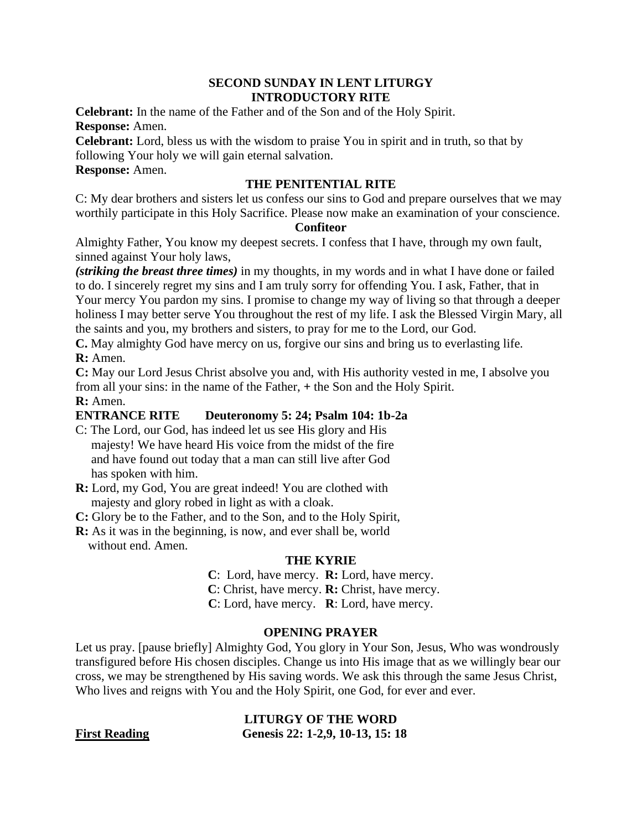## **SECOND SUNDAY IN LENT LITURGY INTRODUCTORY RITE**

**Celebrant:** In the name of the Father and of the Son and of the Holy Spirit. **Response:** Amen.

**Celebrant:** Lord, bless us with the wisdom to praise You in spirit and in truth, so that by following Your holy we will gain eternal salvation. **Response:** Amen.

## **THE PENITENTIAL RITE**

C: My dear brothers and sisters let us confess our sins to God and prepare ourselves that we may worthily participate in this Holy Sacrifice. Please now make an examination of your conscience.

#### **Confiteor**

Almighty Father, You know my deepest secrets. I confess that I have, through my own fault, sinned against Your holy laws,

*(striking the breast three times)* in my thoughts, in my words and in what I have done or failed to do. I sincerely regret my sins and I am truly sorry for offending You. I ask, Father, that in Your mercy You pardon my sins. I promise to change my way of living so that through a deeper holiness I may better serve You throughout the rest of my life. I ask the Blessed Virgin Mary, all the saints and you, my brothers and sisters, to pray for me to the Lord, our God.

**C.** May almighty God have mercy on us, forgive our sins and bring us to everlasting life. **R:** Amen.

**C:** May our Lord Jesus Christ absolve you and, with His authority vested in me, I absolve you from all your sins: in the name of the Father, **+** the Son and the Holy Spirit.

**R:** Amen.

# **ENTRANCE RITE Deuteronomy 5: 24; Psalm 104: 1b-2a**

- C: The Lord, our God, has indeed let us see His glory and His majesty! We have heard His voice from the midst of the fire and have found out today that a man can still live after God has spoken with him.
- **R:** Lord, my God, You are great indeed! You are clothed with majesty and glory robed in light as with a cloak.

**C:** Glory be to the Father, and to the Son, and to the Holy Spirit,

- **R:** As it was in the beginning, is now, and ever shall be, world
- without end. Amen.

## **THE KYRIE**

**C**: Lord, have mercy. **R:** Lord, have mercy.

**C**: Christ, have mercy. **R:** Christ, have mercy.

**C**: Lord, have mercy. **R**: Lord, have mercy.

## **OPENING PRAYER**

Let us pray. [pause briefly] Almighty God, You glory in Your Son, Jesus, Who was wondrously transfigured before His chosen disciples. Change us into His image that as we willingly bear our cross, we may be strengthened by His saving words. We ask this through the same Jesus Christ, Who lives and reigns with You and the Holy Spirit, one God, for ever and ever.

## **LITURGY OF THE WORD First Reading Genesis 22: 1-2,9, 10-13, 15: 18**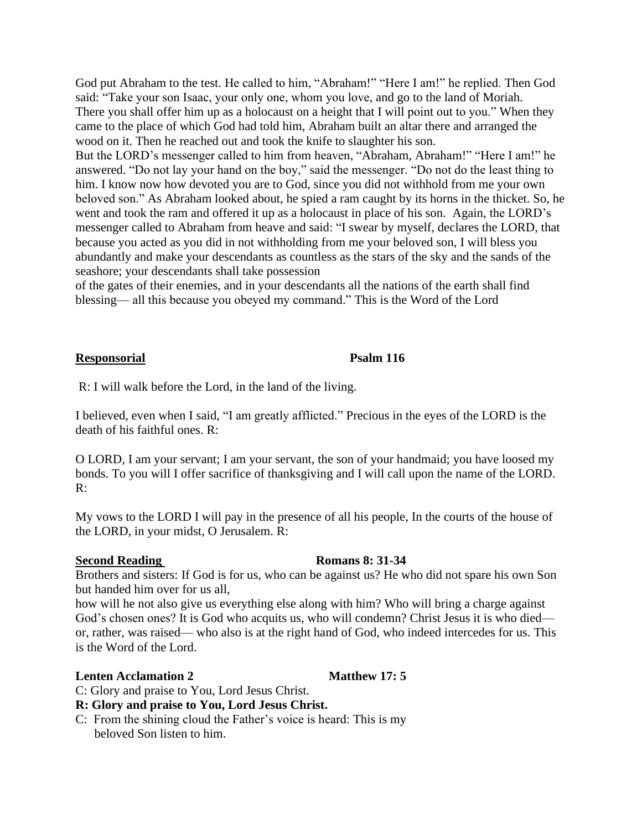God put Abraham to the test. He called to him, "Abraham!" "Here I am!" he replied. Then God said: "Take your son Isaac, your only one, whom you love, and go to the land of Moriah. There you shall offer him up as a holocaust on a height that I will point out to you." When they came to the place of which God had told him, Abraham built an altar there and arranged the wood on it. Then he reached out and took the knife to slaughter his son.

But the LORD's messenger called to him from heaven, "Abraham, Abraham!" "Here I am!" he answered. "Do not lay your hand on the boy," said the messenger. "Do not do the least thing to him. I know now how devoted you are to God, since you did not withhold from me your own beloved son." As Abraham looked about, he spied a ram caught by its horns in the thicket. So, he went and took the ram and offered it up as a holocaust in place of his son. Again, the LORD's messenger called to Abraham from heave and said: "I swear by myself, declares the LORD, that because you acted as you did in not withholding from me your beloved son, I will bless you abundantly and make your descendants as countless as the stars of the sky and the sands of the seashore; your descendants shall take possession

of the gates of their enemies, and in your descendants all the nations of the earth shall find blessing— all this because you obeyed my command." This is the Word of the Lord

#### **Responsorial****Psalm 116**

R: I will walk before the Lord, in the land of the living.

I believed, even when I said, "I am greatly afflicted." Precious in the eyes of the LORD is the death of his faithful ones. R:

O LORD, I am your servant; I am your servant, the son of your handmaid; you have loosed my bonds. To you will I offer sacrifice of thanksgiving and I will call upon the name of the LORD. R:

My vows to the LORD I will pay in the presence of all his people, In the courts of the house of the LORD, in your midst, O Jerusalem. R:

## **Second Reading Romans 8: 31-34**

Brothers and sisters: If God is for us, who can be against us? He who did not spare his own Son but handed him over for us all,

how will he not also give us everything else along with him? Who will bring a charge against God's chosen ones? It is God who acquits us, who will condemn? Christ Jesus it is who died or, rather, was raised— who also is at the right hand of God, who indeed intercedes for us. This is the Word of the Lord.

#### **Lenten Acclamation 2** Matthew 17: 5

C: Glory and praise to You, Lord Jesus Christ.

**R: Glory and praise to You, Lord Jesus Christ.**

C: From the shining cloud the Father's voice is heard: This is my beloved Son listen to him.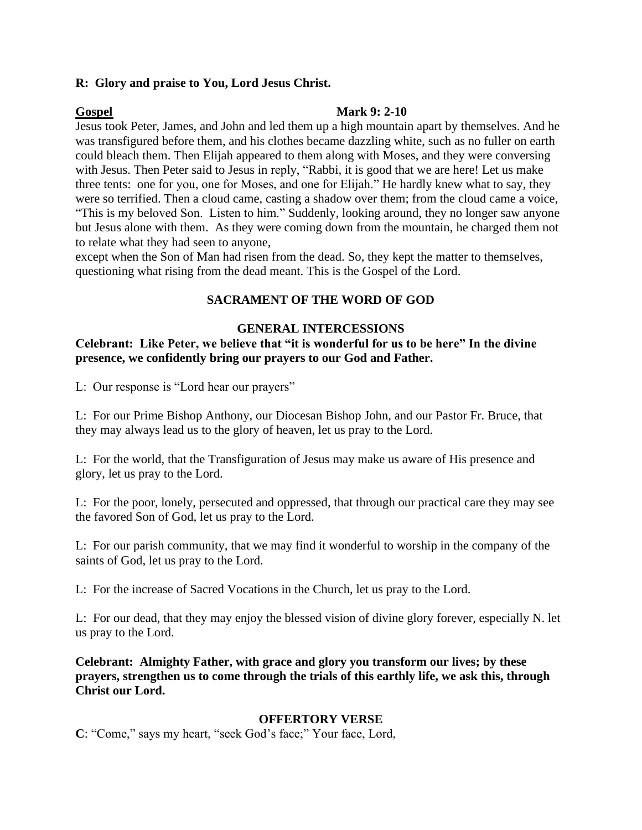## **R: Glory and praise to You, Lord Jesus Christ.**

#### **Gospel Mark 9: 2-10**

Jesus took Peter, James, and John and led them up a high mountain apart by themselves. And he was transfigured before them, and his clothes became dazzling white, such as no fuller on earth could bleach them. Then Elijah appeared to them along with Moses, and they were conversing with Jesus. Then Peter said to Jesus in reply, "Rabbi, it is good that we are here! Let us make three tents: one for you, one for Moses, and one for Elijah." He hardly knew what to say, they were so terrified. Then a cloud came, casting a shadow over them; from the cloud came a voice, "This is my beloved Son. Listen to him." Suddenly, looking around, they no longer saw anyone but Jesus alone with them. As they were coming down from the mountain, he charged them not to relate what they had seen to anyone,

except when the Son of Man had risen from the dead. So, they kept the matter to themselves, questioning what rising from the dead meant. This is the Gospel of the Lord.

# **SACRAMENT OF THE WORD OF GOD**

## **GENERAL INTERCESSIONS**

# **Celebrant: Like Peter, we believe that "it is wonderful for us to be here" In the divine presence, we confidently bring our prayers to our God and Father.**

L: Our response is "Lord hear our prayers"

L: For our Prime Bishop Anthony, our Diocesan Bishop John, and our Pastor Fr. Bruce, that they may always lead us to the glory of heaven, let us pray to the Lord.

L: For the world, that the Transfiguration of Jesus may make us aware of His presence and glory, let us pray to the Lord.

L: For the poor, lonely, persecuted and oppressed, that through our practical care they may see the favored Son of God, let us pray to the Lord.

L: For our parish community, that we may find it wonderful to worship in the company of the saints of God, let us pray to the Lord.

L: For the increase of Sacred Vocations in the Church, let us pray to the Lord.

L: For our dead, that they may enjoy the blessed vision of divine glory forever, especially N. let us pray to the Lord.

**Celebrant: Almighty Father, with grace and glory you transform our lives; by these prayers, strengthen us to come through the trials of this earthly life, we ask this, through Christ our Lord.**

## **OFFERTORY VERSE**

**C**: "Come," says my heart, "seek God's face;" Your face, Lord,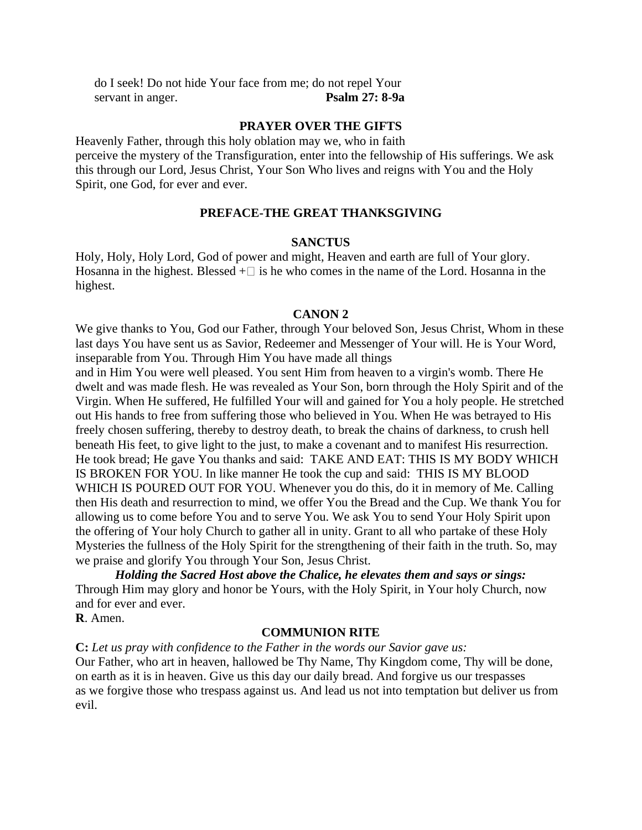do I seek! Do not hide Your face from me; do not repel Your servant in anger. **Psalm 27: 8-9a**

#### **PRAYER OVER THE GIFTS**

Heavenly Father, through this holy oblation may we, who in faith perceive the mystery of the Transfiguration, enter into the fellowship of His sufferings. We ask this through our Lord, Jesus Christ, Your Son Who lives and reigns with You and the Holy Spirit, one God, for ever and ever.

#### **PREFACE-THE GREAT THANKSGIVING**

### **SANCTUS**

Holy, Holy, Holy Lord, God of power and might, Heaven and earth are full of Your glory. Hosanna in the highest. Blessed  $+ \Box$  is he who comes in the name of the Lord. Hosanna in the highest.

#### **CANON 2**

We give thanks to You, God our Father, through Your beloved Son, Jesus Christ, Whom in these last days You have sent us as Savior, Redeemer and Messenger of Your will. He is Your Word, inseparable from You. Through Him You have made all things

and in Him You were well pleased. You sent Him from heaven to a virgin's womb. There He dwelt and was made flesh. He was revealed as Your Son, born through the Holy Spirit and of the Virgin. When He suffered, He fulfilled Your will and gained for You a holy people. He stretched out His hands to free from suffering those who believed in You. When He was betrayed to His freely chosen suffering, thereby to destroy death, to break the chains of darkness, to crush hell beneath His feet, to give light to the just, to make a covenant and to manifest His resurrection. He took bread; He gave You thanks and said: TAKE AND EAT: THIS IS MY BODY WHICH IS BROKEN FOR YOU. In like manner He took the cup and said: THIS IS MY BLOOD WHICH IS POURED OUT FOR YOU. Whenever you do this, do it in memory of Me. Calling then His death and resurrection to mind, we offer You the Bread and the Cup. We thank You for allowing us to come before You and to serve You. We ask You to send Your Holy Spirit upon the offering of Your holy Church to gather all in unity. Grant to all who partake of these Holy Mysteries the fullness of the Holy Spirit for the strengthening of their faith in the truth. So, may we praise and glorify You through Your Son, Jesus Christ.

*Holding the Sacred Host above the Chalice, he elevates them and says or sings:* Through Him may glory and honor be Yours, with the Holy Spirit, in Your holy Church, now and for ever and ever.

**R**. Amen.

#### **COMMUNION RITE**

**C:** *Let us pray with confidence to the Father in the words our Savior gave us:* Our Father, who art in heaven, hallowed be Thy Name, Thy Kingdom come, Thy will be done, on earth as it is in heaven. Give us this day our daily bread. And forgive us our trespasses as we forgive those who trespass against us. And lead us not into temptation but deliver us from evil.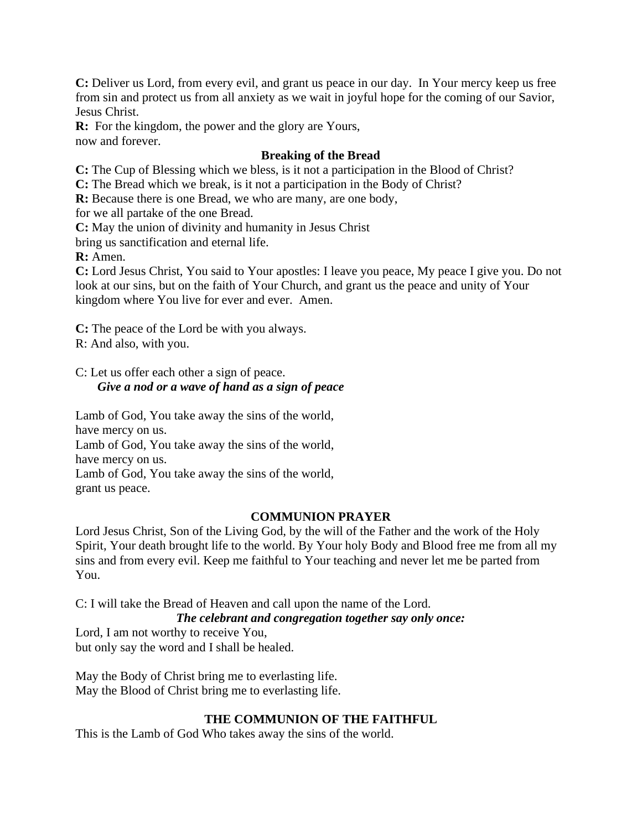**C:** Deliver us Lord, from every evil, and grant us peace in our day. In Your mercy keep us free from sin and protect us from all anxiety as we wait in joyful hope for the coming of our Savior, Jesus Christ.

**R:** For the kingdom, the power and the glory are Yours, now and forever.

# **Breaking of the Bread**

**C:** The Cup of Blessing which we bless, is it not a participation in the Blood of Christ?

**C:** The Bread which we break, is it not a participation in the Body of Christ?

**R:** Because there is one Bread, we who are many, are one body,

for we all partake of the one Bread.

**C:** May the union of divinity and humanity in Jesus Christ

bring us sanctification and eternal life.

**R:** Amen.

**C:** Lord Jesus Christ, You said to Your apostles: I leave you peace, My peace I give you. Do not look at our sins, but on the faith of Your Church, and grant us the peace and unity of Your kingdom where You live for ever and ever. Amen.

**C:** The peace of the Lord be with you always.

R: And also, with you.

C: Let us offer each other a sign of peace.  *Give a nod or a wave of hand as a sign of peace* 

Lamb of God, You take away the sins of the world, have mercy on us. Lamb of God, You take away the sins of the world, have mercy on us. Lamb of God, You take away the sins of the world, grant us peace.

## **COMMUNION PRAYER**

Lord Jesus Christ, Son of the Living God, by the will of the Father and the work of the Holy Spirit, Your death brought life to the world. By Your holy Body and Blood free me from all my sins and from every evil. Keep me faithful to Your teaching and never let me be parted from You.

C: I will take the Bread of Heaven and call upon the name of the Lord.

*The celebrant and congregation together say only once:* Lord, I am not worthy to receive You, but only say the word and I shall be healed.

May the Body of Christ bring me to everlasting life.

May the Blood of Christ bring me to everlasting life.

# **THE COMMUNION OF THE FAITHFUL**

This is the Lamb of God Who takes away the sins of the world.